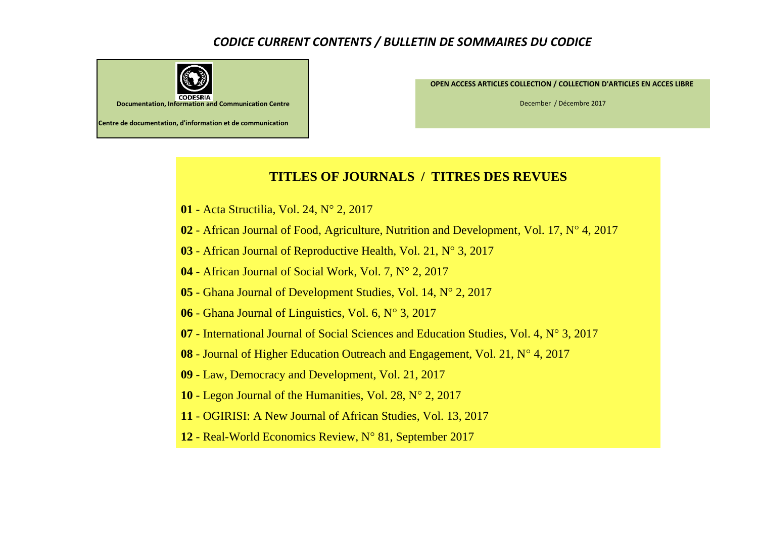## *CODICE CURRENT CONTENTS / BULLETIN DE SOMMAIRES DU CODICE*



**OPEN ACCESS ARTICLES COLLECTION / COLLECTION D'ARTICLES EN ACCES LIBRE** 

December / Décembre 2017

## **TITLES OF JOURNALS / TITRES DES REVUES**

- Acta Structilia, Vol. 24, N° 2, 2017
- African Journal of Food, Agriculture, Nutrition and Development, Vol. 17, N° 4, 2017
- African Journal of Reproductive Health, Vol. 21, N° 3, 2017
- African Journal of Social Work, Vol. 7, N° 2, 2017
- Ghana Journal of Development Studies, Vol. 14, N° 2, 2017
- Ghana Journal of Linguistics, Vol. 6, N° 3, 2017
- International Journal of Social Sciences and Education Studies, Vol. 4, N° 3, 2017
- Journal of Higher Education Outreach and Engagement, Vol. 21, N° 4, 2017
- Law, Democracy and Development, Vol. 21, 2017
- Legon Journal of the Humanities, Vol. 28, N° 2, 2017
- OGIRISI: A New Journal of African Studies, Vol. 13, 2017
- Real-World Economics Review, N° 81, September 2017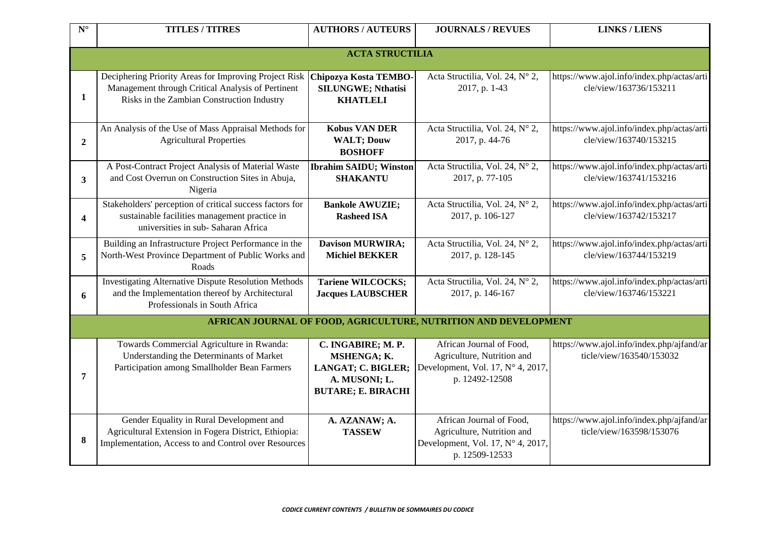| $\mathbf{N}^\circ$ | <b>TITLES / TITRES</b>                                                                                                                                   | <b>AUTHORS / AUTEURS</b>                                                                              | <b>JOURNALS / REVUES</b>                                                                                      | <b>LINKS / LIENS</b>                                                  |  |  |
|--------------------|----------------------------------------------------------------------------------------------------------------------------------------------------------|-------------------------------------------------------------------------------------------------------|---------------------------------------------------------------------------------------------------------------|-----------------------------------------------------------------------|--|--|
|                    | <b>ACTA STRUCTILIA</b>                                                                                                                                   |                                                                                                       |                                                                                                               |                                                                       |  |  |
| 1                  | Deciphering Priority Areas for Improving Project Risk<br>Management through Critical Analysis of Pertinent<br>Risks in the Zambian Construction Industry | Chipozya Kosta TEMBO-<br><b>SILUNGWE; Nthatisi</b><br><b>KHATLELI</b>                                 | Acta Structilia, Vol. 24, N° 2,<br>2017, p. 1-43                                                              | https://www.ajol.info/index.php/actas/arti<br>cle/view/163736/153211  |  |  |
| $\boldsymbol{2}$   | An Analysis of the Use of Mass Appraisal Methods for<br><b>Agricultural Properties</b>                                                                   | <b>Kobus VAN DER</b><br><b>WALT; Douw</b><br><b>BOSHOFF</b>                                           | Acta Structilia, Vol. 24, N° 2,<br>2017, p. 44-76                                                             | https://www.ajol.info/index.php/actas/arti<br>cle/view/163740/153215  |  |  |
| 3                  | A Post-Contract Project Analysis of Material Waste<br>and Cost Overrun on Construction Sites in Abuja,<br>Nigeria                                        | <b>Ibrahim SAIDU; Winston</b><br><b>SHAKANTU</b>                                                      | Acta Structilia, Vol. 24, N° 2,<br>2017, p. 77-105                                                            | https://www.ajol.info/index.php/actas/arti<br>cle/view/163741/153216  |  |  |
| $\overline{4}$     | Stakeholders' perception of critical success factors for<br>sustainable facilities management practice in<br>universities in sub-Saharan Africa          | <b>Bankole AWUZIE;</b><br><b>Rasheed ISA</b>                                                          | Acta Structilia, Vol. 24, N° 2,<br>2017, p. 106-127                                                           | https://www.ajol.info/index.php/actas/arti<br>cle/view/163742/153217  |  |  |
| 5                  | Building an Infrastructure Project Performance in the<br>North-West Province Department of Public Works and<br>Roads                                     | <b>Davison MURWIRA;</b><br><b>Michiel BEKKER</b>                                                      | Acta Structilia, Vol. 24, N° 2,<br>2017, p. 128-145                                                           | https://www.ajol.info/index.php/actas/arti<br>cle/view/163744/153219  |  |  |
| 6                  | <b>Investigating Alternative Dispute Resolution Methods</b><br>and the Implementation thereof by Architectural<br>Professionals in South Africa          | <b>Tariene WILCOCKS;</b><br><b>Jacques LAUBSCHER</b>                                                  | Acta Structilia, Vol. 24, N° 2,<br>2017, p. 146-167                                                           | https://www.ajol.info/index.php/actas/arti<br>cle/view/163746/153221  |  |  |
|                    |                                                                                                                                                          |                                                                                                       | AFRICAN JOURNAL OF FOOD, AGRICULTURE, NUTRITION AND DEVELOPMENT                                               |                                                                       |  |  |
| 7                  | Towards Commercial Agriculture in Rwanda:<br>Understanding the Determinants of Market<br>Participation among Smallholder Bean Farmers                    | C. INGABIRE; M. P.<br>MSHENGA; K.<br>LANGAT; C. BIGLER;<br>A. MUSONI; L.<br><b>BUTARE; E. BIRACHI</b> | African Journal of Food,<br>Agriculture, Nutrition and<br>Development, Vol. 17, N° 4, 2017,<br>p. 12492-12508 | https://www.ajol.info/index.php/ajfand/ar<br>ticle/view/163540/153032 |  |  |
| 8                  | Gender Equality in Rural Development and<br>Agricultural Extension in Fogera District, Ethiopia:<br>Implementation, Access to and Control over Resources | A. AZANAW; A.<br><b>TASSEW</b>                                                                        | African Journal of Food,<br>Agriculture, Nutrition and<br>Development, Vol. 17, N° 4, 2017,<br>p. 12509-12533 | https://www.ajol.info/index.php/ajfand/ar<br>ticle/view/163598/153076 |  |  |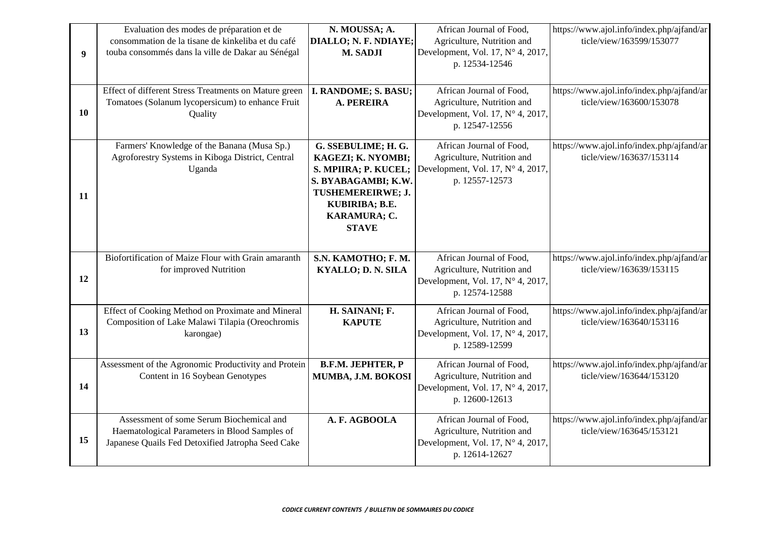| 9 <sup>°</sup> | Evaluation des modes de préparation et de<br>consommation de la tisane de kinkeliba et du café<br>touba consommés dans la ville de Dakar au Sénégal | N. MOUSSA; A.<br>DIALLO; N. F. NDIAYE;<br>M. SADJI                                                                                                              | African Journal of Food,<br>Agriculture, Nutrition and<br>Development, Vol. 17, N° 4, 2017,<br>p. 12534-12546          | https://www.ajol.info/index.php/ajfand/ar<br>ticle/view/163599/153077 |
|----------------|-----------------------------------------------------------------------------------------------------------------------------------------------------|-----------------------------------------------------------------------------------------------------------------------------------------------------------------|------------------------------------------------------------------------------------------------------------------------|-----------------------------------------------------------------------|
| 10             | Effect of different Stress Treatments on Mature green<br>Tomatoes (Solanum lycopersicum) to enhance Fruit<br>Quality                                | I. RANDOME; S. BASU;<br>A. PEREIRA                                                                                                                              | African Journal of Food,<br>Agriculture, Nutrition and<br>Development, Vol. 17, N° 4, 2017,<br>p. 12547-12556          | https://www.ajol.info/index.php/ajfand/ar<br>ticle/view/163600/153078 |
| 11             | Farmers' Knowledge of the Banana (Musa Sp.)<br>Agroforestry Systems in Kiboga District, Central<br>Uganda                                           | G. SSEBULIME; H. G.<br>KAGEZI; K. NYOMBI;<br>S. MPIIRA; P. KUCEL;<br>S. BYABAGAMBI; K.W.<br>TUSHEMEREIRWE; J.<br>KUBIRIBA; B.E.<br>KARAMURA; C.<br><b>STAVE</b> | African Journal of Food,<br>Agriculture, Nutrition and<br>Development, Vol. 17, N° 4, 2017,<br>p. 12557-12573          | https://www.ajol.info/index.php/ajfand/ar<br>ticle/view/163637/153114 |
| 12             | Biofortification of Maize Flour with Grain amaranth<br>for improved Nutrition                                                                       | S.N. KAMOTHO; F. M.<br><b>KYALLO; D. N. SILA</b>                                                                                                                | African Journal of Food,<br>Agriculture, Nutrition and<br>Development, Vol. 17, $N^{\circ}$ 4, 2017,<br>p. 12574-12588 | https://www.ajol.info/index.php/ajfand/ar<br>ticle/view/163639/153115 |
| 13             | Effect of Cooking Method on Proximate and Mineral<br>Composition of Lake Malawi Tilapia (Oreochromis<br>karongae)                                   | H. SAINANI; F.<br><b>KAPUTE</b>                                                                                                                                 | African Journal of Food,<br>Agriculture, Nutrition and<br>Development, Vol. 17, N° 4, 2017,<br>p. 12589-12599          | https://www.ajol.info/index.php/ajfand/ar<br>ticle/view/163640/153116 |
| 14             | Assessment of the Agronomic Productivity and Protein<br>Content in 16 Soybean Genotypes                                                             | <b>B.F.M. JEPHTER, P</b><br>MUMBA, J.M. BOKOSI                                                                                                                  | African Journal of Food,<br>Agriculture, Nutrition and<br>Development, Vol. 17, N° 4, 2017,<br>p. 12600-12613          | https://www.ajol.info/index.php/ajfand/ar<br>ticle/view/163644/153120 |
| 15             | Assessment of some Serum Biochemical and<br>Haematological Parameters in Blood Samples of<br>Japanese Quails Fed Detoxified Jatropha Seed Cake      | A. F. AGBOOLA                                                                                                                                                   | African Journal of Food,<br>Agriculture, Nutrition and<br>Development, Vol. 17, N° 4, 2017,<br>p. 12614-12627          | https://www.ajol.info/index.php/ajfand/ar<br>ticle/view/163645/153121 |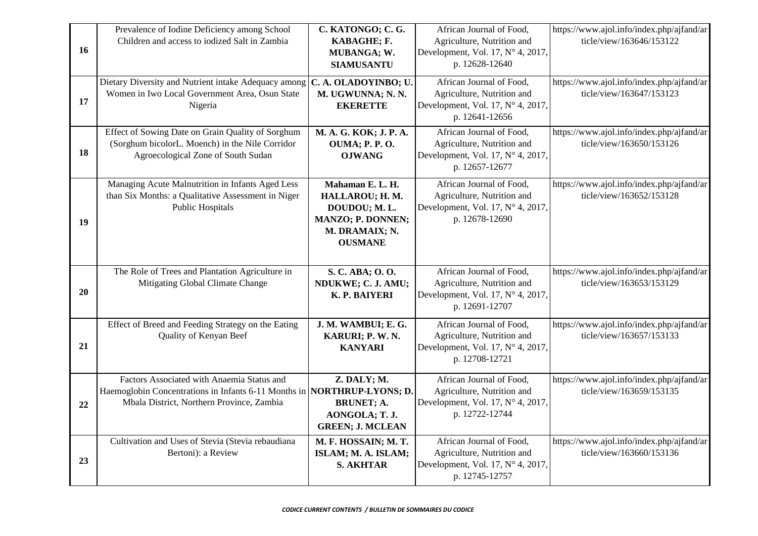| 16 | Prevalence of Iodine Deficiency among School<br>Children and access to iodized Salt in Zambia                                                                      | C. KATONGO; C. G.<br>KABAGHE; F.<br>MUBANGA; W.<br><b>SIAMUSANTU</b>                                         | African Journal of Food,<br>Agriculture, Nutrition and<br>Development, Vol. 17, N° 4, 2017,<br>p. 12628-12640        | https://www.ajol.info/index.php/ajfand/ar<br>ticle/view/163646/153122 |
|----|--------------------------------------------------------------------------------------------------------------------------------------------------------------------|--------------------------------------------------------------------------------------------------------------|----------------------------------------------------------------------------------------------------------------------|-----------------------------------------------------------------------|
| 17 | Dietary Diversity and Nutrient intake Adequacy among<br>Women in Iwo Local Government Area, Osun State<br>Nigeria                                                  | C. A. OLADOYINBO; U.<br>M. UGWUNNA; N. N.<br><b>EKERETTE</b>                                                 | African Journal of Food,<br>Agriculture, Nutrition and<br>Development, Vol. 17, N° 4, 2017,<br>p. 12641-12656        | https://www.ajol.info/index.php/ajfand/ar<br>ticle/view/163647/153123 |
| 18 | Effect of Sowing Date on Grain Quality of Sorghum<br>(Sorghum bicolorL. Moench) in the Nile Corridor<br>Agroecological Zone of South Sudan                         | M. A. G. KOK; J. P. A.<br><b>OUMA</b> ; P. P.O.<br><b>OJWANG</b>                                             | African Journal of Food,<br>Agriculture, Nutrition and<br>Development, Vol. 17, N° 4, 2017,<br>p. 12657-12677        | https://www.ajol.info/index.php/ajfand/ar<br>ticle/view/163650/153126 |
| 19 | Managing Acute Malnutrition in Infants Aged Less<br>than Six Months: a Qualitative Assessment in Niger<br><b>Public Hospitals</b>                                  | Mahaman E. L. H.<br>HALLAROU; H. M.<br>DOUDOU; M.L.<br>MANZO; P. DONNEN;<br>M. DRAMAIX; N.<br><b>OUSMANE</b> | African Journal of Food,<br>Agriculture, Nutrition and<br>Development, Vol. 17, $N^\circ$ 4, 2017,<br>p. 12678-12690 | https://www.ajol.info/index.php/ajfand/ar<br>ticle/view/163652/153128 |
| 20 | The Role of Trees and Plantation Agriculture in<br>Mitigating Global Climate Change                                                                                | S. C. ABA; O. O.<br>NDUKWE; C. J. AMU;<br>K. P. BAIYERI                                                      | African Journal of Food,<br>Agriculture, Nutrition and<br>Development, Vol. 17, $N^\circ$ 4, 2017,<br>p. 12691-12707 | https://www.ajol.info/index.php/ajfand/ar<br>ticle/view/163653/153129 |
| 21 | Effect of Breed and Feeding Strategy on the Eating<br>Quality of Kenyan Beef                                                                                       | J. M. WAMBUI; E. G.<br>KARURI; P. W. N.<br><b>KANYARI</b>                                                    | African Journal of Food,<br>Agriculture, Nutrition and<br>Development, Vol. 17, $N^\circ$ 4, 2017,<br>p. 12708-12721 | https://www.ajol.info/index.php/ajfand/ar<br>ticle/view/163657/153133 |
| 22 | Factors Associated with Anaemia Status and<br>Haemoglobin Concentrations in Infants 6-11 Months in NORTHRUP-LYONS; D.<br>Mbala District, Northern Province, Zambia | Z. DALY; M.<br><b>BRUNET; A.</b><br>AONGOLA; T. J.<br><b>GREEN; J. MCLEAN</b>                                | African Journal of Food,<br>Agriculture, Nutrition and<br>Development, Vol. 17, N° 4, 2017,<br>p. 12722-12744        | https://www.ajol.info/index.php/ajfand/ar<br>ticle/view/163659/153135 |
| 23 | Cultivation and Uses of Stevia (Stevia rebaudiana<br>Bertoni): a Review                                                                                            | M. F. HOSSAIN; M. T.<br>ISLAM; M. A. ISLAM;<br><b>S. AKHTAR</b>                                              | African Journal of Food,<br>Agriculture, Nutrition and<br>Development, Vol. 17, N° 4, 2017,<br>p. 12745-12757        | https://www.ajol.info/index.php/ajfand/ar<br>ticle/view/163660/153136 |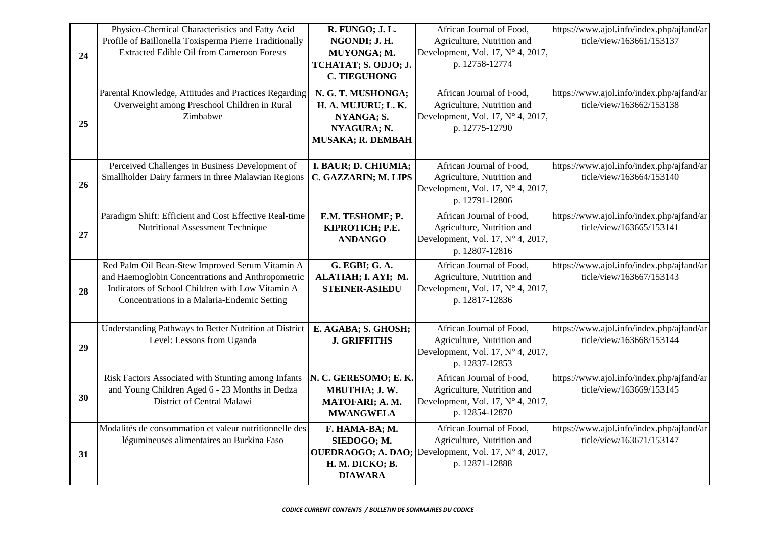| 24 | Physico-Chemical Characteristics and Fatty Acid<br>Profile of Baillonella Toxisperma Pierre Traditionally<br><b>Extracted Edible Oil from Cameroon Forests</b>                                          | R. FUNGO; J. L.<br>NGONDI; J. H.<br>MUYONGA; M.<br>TCHATAT; S. ODJO; J.<br><b>C. TIEGUHONG</b>  | African Journal of Food,<br>Agriculture, Nutrition and<br>Development, Vol. 17, N° 4, 2017,<br>p. 12758-12774 | https://www.ajol.info/index.php/ajfand/ar<br>ticle/view/163661/153137 |
|----|---------------------------------------------------------------------------------------------------------------------------------------------------------------------------------------------------------|-------------------------------------------------------------------------------------------------|---------------------------------------------------------------------------------------------------------------|-----------------------------------------------------------------------|
| 25 | Parental Knowledge, Attitudes and Practices Regarding<br>Overweight among Preschool Children in Rural<br>Zimbabwe                                                                                       | N. G. T. MUSHONGA;<br>H. A. MUJURU; L. K.<br>NYANGA; S.<br>NYAGURA; N.<br>MUSAKA; R. DEMBAH     | African Journal of Food,<br>Agriculture, Nutrition and<br>Development, Vol. 17, N° 4, 2017,<br>p. 12775-12790 | https://www.ajol.info/index.php/ajfand/ar<br>ticle/view/163662/153138 |
| 26 | Perceived Challenges in Business Development of<br>Smallholder Dairy farmers in three Malawian Regions                                                                                                  | I. BAUR; D. CHIUMIA;<br>C. GAZZARIN; M. LIPS                                                    | African Journal of Food,<br>Agriculture, Nutrition and<br>Development, Vol. 17, N° 4, 2017,<br>p. 12791-12806 | https://www.ajol.info/index.php/ajfand/ar<br>ticle/view/163664/153140 |
| 27 | Paradigm Shift: Efficient and Cost Effective Real-time<br>Nutritional Assessment Technique                                                                                                              | E.M. TESHOME; P.<br>KIPROTICH; P.E.<br><b>ANDANGO</b>                                           | African Journal of Food,<br>Agriculture, Nutrition and<br>Development, Vol. 17, N° 4, 2017,<br>p. 12807-12816 | https://www.ajol.info/index.php/ajfand/ar<br>ticle/view/163665/153141 |
| 28 | Red Palm Oil Bean-Stew Improved Serum Vitamin A<br>and Haemoglobin Concentrations and Anthropometric<br>Indicators of School Children with Low Vitamin A<br>Concentrations in a Malaria-Endemic Setting | G. EGBI; G. A.<br>ALATIAH; I. AYI; M.<br><b>STEINER-ASIEDU</b>                                  | African Journal of Food,<br>Agriculture, Nutrition and<br>Development, Vol. 17, N° 4, 2017,<br>p. 12817-12836 | https://www.ajol.info/index.php/ajfand/ar<br>ticle/view/163667/153143 |
| 29 | Understanding Pathways to Better Nutrition at District<br>Level: Lessons from Uganda                                                                                                                    | E. AGABA; S. GHOSH;<br><b>J. GRIFFITHS</b>                                                      | African Journal of Food,<br>Agriculture, Nutrition and<br>Development, Vol. 17, N° 4, 2017,<br>p. 12837-12853 | https://www.ajol.info/index.php/ajfand/ar<br>ticle/view/163668/153144 |
| 30 | Risk Factors Associated with Stunting among Infants<br>and Young Children Aged 6 - 23 Months in Dedza<br>District of Central Malawi                                                                     | N. C. GERESOMO; E. K.<br>MBUTHIA; J.W.<br>MATOFARI; A. M.<br><b>MWANGWELA</b>                   | African Journal of Food,<br>Agriculture, Nutrition and<br>Development, Vol. 17, N° 4, 2017,<br>p. 12854-12870 | https://www.ajol.info/index.php/ajfand/ar<br>ticle/view/163669/153145 |
| 31 | Modalités de consommation et valeur nutritionnelle des<br>légumineuses alimentaires au Burkina Faso                                                                                                     | F. HAMA-BA; M.<br>SIEDOGO; M.<br><b>OUEDRAOGO; A. DAO;</b><br>H. M. DICKO; B.<br><b>DIAWARA</b> | African Journal of Food,<br>Agriculture, Nutrition and<br>Development, Vol. 17, N° 4, 2017,<br>p. 12871-12888 | https://www.ajol.info/index.php/ajfand/ar<br>ticle/view/163671/153147 |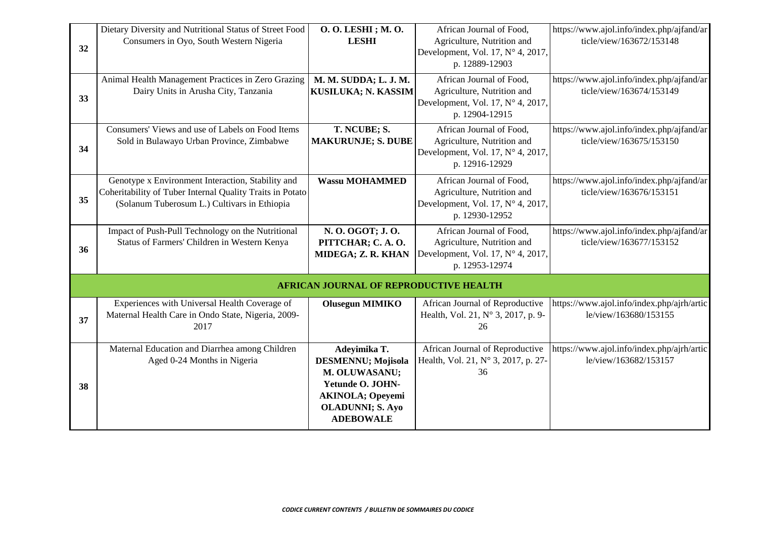| 32 | Dietary Diversity and Nutritional Status of Street Food<br>Consumers in Oyo, South Western Nigeria                                                             | O. O. LESHI ; M. O.<br><b>LESHI</b>                                                                                                               | African Journal of Food,<br>Agriculture, Nutrition and<br>Development, Vol. 17, N° 4, 2017,<br>p. 12889-12903        | https://www.ajol.info/index.php/ajfand/ar<br>ticle/view/163672/153148 |
|----|----------------------------------------------------------------------------------------------------------------------------------------------------------------|---------------------------------------------------------------------------------------------------------------------------------------------------|----------------------------------------------------------------------------------------------------------------------|-----------------------------------------------------------------------|
| 33 | Animal Health Management Practices in Zero Grazing<br>Dairy Units in Arusha City, Tanzania                                                                     | M. M. SUDDA; L. J. M.<br>KUSILUKA; N. KASSIM                                                                                                      | African Journal of Food,<br>Agriculture, Nutrition and<br>Development, Vol. 17, $N^\circ$ 4, 2017,<br>p. 12904-12915 | https://www.ajol.info/index.php/ajfand/ar<br>ticle/view/163674/153149 |
| 34 | Consumers' Views and use of Labels on Food Items<br>Sold in Bulawayo Urban Province, Zimbabwe                                                                  | T. NCUBE; S.<br><b>MAKURUNJE; S. DUBE</b>                                                                                                         | African Journal of Food,<br>Agriculture, Nutrition and<br>Development, Vol. 17, N° 4, 2017,<br>p. 12916-12929        | https://www.ajol.info/index.php/ajfand/ar<br>ticle/view/163675/153150 |
| 35 | Genotype x Environment Interaction, Stability and<br>Coheritability of Tuber Internal Quality Traits in Potato<br>(Solanum Tuberosum L.) Cultivars in Ethiopia | <b>Wassu MOHAMMED</b>                                                                                                                             | African Journal of Food,<br>Agriculture, Nutrition and<br>Development, Vol. 17, $N^\circ$ 4, 2017,<br>p. 12930-12952 | https://www.ajol.info/index.php/ajfand/ar<br>ticle/view/163676/153151 |
| 36 | Impact of Push-Pull Technology on the Nutritional<br>Status of Farmers' Children in Western Kenya                                                              | N. O. OGOT; J. O.<br>PITTCHAR; C.A.O.<br>MIDEGA; Z. R. KHAN                                                                                       | African Journal of Food,<br>Agriculture, Nutrition and<br>Development, Vol. 17, N° 4, 2017,<br>p. 12953-12974        | https://www.ajol.info/index.php/ajfand/ar<br>ticle/view/163677/153152 |
|    |                                                                                                                                                                | <b>AFRICAN JOURNAL OF REPRODUCTIVE HEALTH</b>                                                                                                     |                                                                                                                      |                                                                       |
| 37 | Experiences with Universal Health Coverage of<br>Maternal Health Care in Ondo State, Nigeria, 2009-<br>2017                                                    | <b>Olusegun MIMIKO</b>                                                                                                                            | African Journal of Reproductive<br>Health, Vol. 21, N° 3, 2017, p. 9-<br>26                                          | https://www.ajol.info/index.php/ajrh/artic<br>le/view/163680/153155   |
| 38 | Maternal Education and Diarrhea among Children<br>Aged 0-24 Months in Nigeria                                                                                  | Adeyimika T.<br>DESMENNU; Mojisola<br>M. OLUWASANU;<br>Yetunde O. JOHN-<br><b>AKINOLA; Opeyemi</b><br><b>OLADUNNI; S. Ayo</b><br><b>ADEBOWALE</b> | African Journal of Reproductive<br>Health, Vol. 21, N° 3, 2017, p. 27-<br>36                                         | https://www.ajol.info/index.php/ajrh/artic<br>le/view/163682/153157   |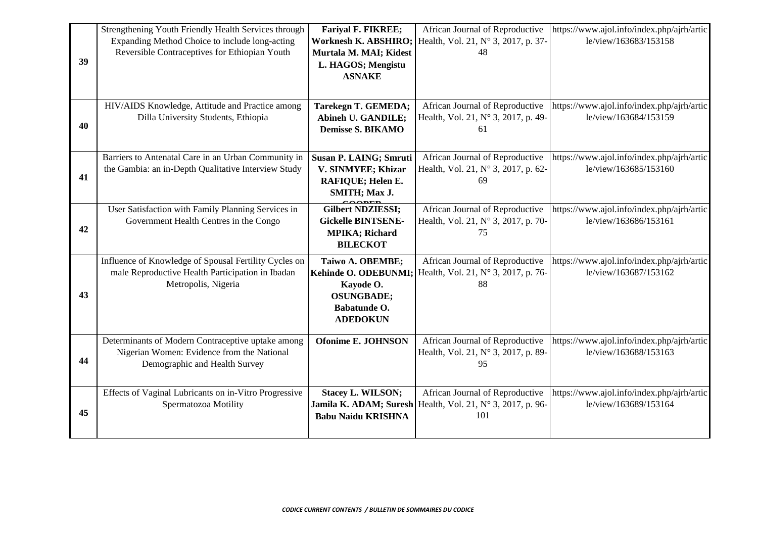|    | Strengthening Youth Friendly Health Services through  | <b>Fariyal F. FIKREE;</b>     | African Journal of Reproductive     | https://www.ajol.info/index.php/ajrh/artic |
|----|-------------------------------------------------------|-------------------------------|-------------------------------------|--------------------------------------------|
|    | Expanding Method Choice to include long-acting        | <b>Worknesh K. ABSHIRO;</b>   | Health, Vol. 21, N° 3, 2017, p. 37- | le/view/163683/153158                      |
|    | Reversible Contraceptives for Ethiopian Youth         | Murtala M. MAI; Kidest        | 48                                  |                                            |
| 39 |                                                       | L. HAGOS; Mengistu            |                                     |                                            |
|    |                                                       | <b>ASNAKE</b>                 |                                     |                                            |
|    |                                                       |                               |                                     |                                            |
|    | HIV/AIDS Knowledge, Attitude and Practice among       | Tarekegn T. GEMEDA;           | African Journal of Reproductive     | https://www.ajol.info/index.php/ajrh/artic |
|    | Dilla University Students, Ethiopia                   | Abineh U. GANDILE;            | Health, Vol. 21, N° 3, 2017, p. 49- | le/view/163684/153159                      |
| 40 |                                                       | <b>Demisse S. BIKAMO</b>      | 61                                  |                                            |
|    |                                                       |                               |                                     |                                            |
|    | Barriers to Antenatal Care in an Urban Community in   | <b>Susan P. LAING; Smruti</b> | African Journal of Reproductive     | https://www.ajol.info/index.php/ajrh/artic |
|    | the Gambia: an in-Depth Qualitative Interview Study   | V. SINMYEE; Khizar            | Health, Vol. 21, N° 3, 2017, p. 62- | le/view/163685/153160                      |
| 41 |                                                       | RAFIQUE; Helen E.             | 69                                  |                                            |
|    |                                                       | SMITH; Max J.                 |                                     |                                            |
|    | User Satisfaction with Family Planning Services in    | <b>Gilbert NDZIESSI;</b>      | African Journal of Reproductive     | https://www.ajol.info/index.php/ajrh/artic |
|    | Government Health Centres in the Congo                | <b>Gickelle BINTSENE-</b>     | Health, Vol. 21, N° 3, 2017, p. 70- | le/view/163686/153161                      |
| 42 |                                                       | <b>MPIKA</b> ; Richard        | 75                                  |                                            |
|    |                                                       | <b>BILECKOT</b>               |                                     |                                            |
|    | Influence of Knowledge of Spousal Fertility Cycles on | Taiwo A. OBEMBE;              | African Journal of Reproductive     | https://www.ajol.info/index.php/ajrh/artic |
|    | male Reproductive Health Participation in Ibadan      | Kehinde O. ODEBUNMI;          | Health, Vol. 21, N° 3, 2017, p. 76- | le/view/163687/153162                      |
|    | Metropolis, Nigeria                                   | Kayode O.                     | 88                                  |                                            |
| 43 |                                                       | <b>OSUNGBADE;</b>             |                                     |                                            |
|    |                                                       | Babatunde O.                  |                                     |                                            |
|    |                                                       | <b>ADEDOKUN</b>               |                                     |                                            |
|    | Determinants of Modern Contraceptive uptake among     | <b>Ofonime E. JOHNSON</b>     | African Journal of Reproductive     | https://www.ajol.info/index.php/ajrh/artic |
|    | Nigerian Women: Evidence from the National            |                               | Health, Vol. 21, N° 3, 2017, p. 89- | le/view/163688/153163                      |
| 44 | Demographic and Health Survey                         |                               | 95                                  |                                            |
|    |                                                       |                               |                                     |                                            |
|    | Effects of Vaginal Lubricants on in-Vitro Progressive | <b>Stacey L. WILSON;</b>      | African Journal of Reproductive     | https://www.ajol.info/index.php/ajrh/artic |
|    | Spermatozoa Motility                                  | Jamila K. ADAM; Suresh        | Health, Vol. 21, N° 3, 2017, p. 96- | le/view/163689/153164                      |
| 45 |                                                       | <b>Babu Naidu KRISHNA</b>     | 101                                 |                                            |
|    |                                                       |                               |                                     |                                            |
|    |                                                       |                               |                                     |                                            |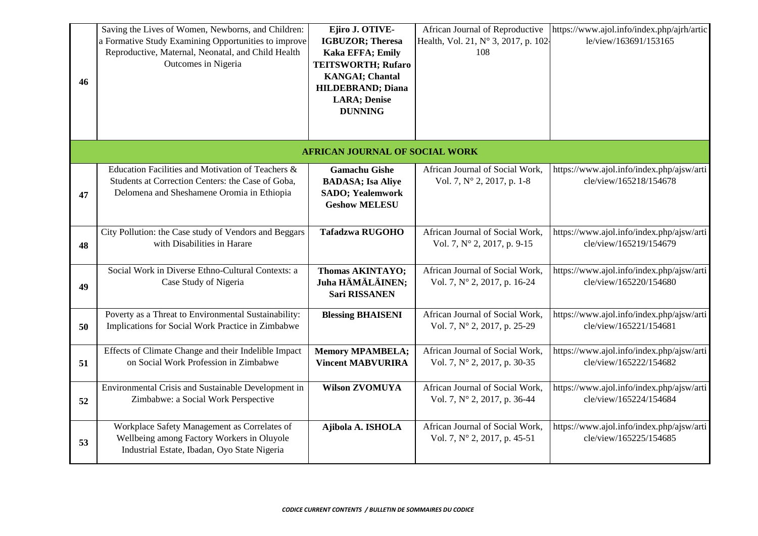| 46 | Saving the Lives of Women, Newborns, and Children:<br>a Formative Study Examining Opportunities to improve<br>Reproductive, Maternal, Neonatal, and Child Health<br>Outcomes in Nigeria | Ejiro J. OTIVE-<br><b>IGBUZOR</b> ; Theresa<br><b>Kaka EFFA; Emily</b><br><b>TEITSWORTH; Rufaro</b><br><b>KANGAI</b> ; Chantal<br><b>HILDEBRAND; Diana</b><br><b>LARA</b> ; Denise<br><b>DUNNING</b> | African Journal of Reproductive<br>Health, Vol. 21, N° 3, 2017, p. 102-<br>108 | https://www.ajol.info/index.php/ajrh/artic<br>le/view/163691/153165 |
|----|-----------------------------------------------------------------------------------------------------------------------------------------------------------------------------------------|------------------------------------------------------------------------------------------------------------------------------------------------------------------------------------------------------|--------------------------------------------------------------------------------|---------------------------------------------------------------------|
|    |                                                                                                                                                                                         | <b>AFRICAN JOURNAL OF SOCIAL WORK</b>                                                                                                                                                                |                                                                                |                                                                     |
| 47 | Education Facilities and Motivation of Teachers &<br>Students at Correction Centers: the Case of Goba,<br>Delomena and Sheshamene Oromia in Ethiopia                                    | <b>Gamachu Gishe</b><br><b>BADASA; Isa Aliye</b><br><b>SADO</b> ; Yealemwork<br><b>Geshow MELESU</b>                                                                                                 | African Journal of Social Work,<br>Vol. 7, N° 2, 2017, p. 1-8                  | https://www.ajol.info/index.php/ajsw/arti<br>cle/view/165218/154678 |
| 48 | City Pollution: the Case study of Vendors and Beggars<br>with Disabilities in Harare                                                                                                    | <b>Tafadzwa RUGOHO</b>                                                                                                                                                                               | African Journal of Social Work,<br>Vol. 7, N° 2, 2017, p. 9-15                 | https://www.ajol.info/index.php/ajsw/arti<br>cle/view/165219/154679 |
| 49 | Social Work in Diverse Ethno-Cultural Contexts: a<br>Case Study of Nigeria                                                                                                              | <b>Thomas AKINTAYO;</b><br>Juha HÄMÄLÄINEN;<br><b>Sari RISSANEN</b>                                                                                                                                  | African Journal of Social Work,<br>Vol. 7, N° 2, 2017, p. 16-24                | https://www.ajol.info/index.php/ajsw/arti<br>cle/view/165220/154680 |
| 50 | Poverty as a Threat to Environmental Sustainability:<br>Implications for Social Work Practice in Zimbabwe                                                                               | <b>Blessing BHAISENI</b>                                                                                                                                                                             | African Journal of Social Work,<br>Vol. 7, N° 2, 2017, p. 25-29                | https://www.ajol.info/index.php/ajsw/arti<br>cle/view/165221/154681 |
| 51 | Effects of Climate Change and their Indelible Impact<br>on Social Work Profession in Zimbabwe                                                                                           | <b>Memory MPAMBELA;</b><br><b>Vincent MABVURIRA</b>                                                                                                                                                  | African Journal of Social Work,<br>Vol. 7, N° 2, 2017, p. 30-35                | https://www.ajol.info/index.php/ajsw/arti<br>cle/view/165222/154682 |
| 52 | Environmental Crisis and Sustainable Development in<br>Zimbabwe: a Social Work Perspective                                                                                              | <b>Wilson ZVOMUYA</b>                                                                                                                                                                                | African Journal of Social Work,<br>Vol. 7, N° 2, 2017, p. 36-44                | https://www.ajol.info/index.php/ajsw/arti<br>cle/view/165224/154684 |
| 53 | Workplace Safety Management as Correlates of<br>Wellbeing among Factory Workers in Oluyole<br>Industrial Estate, Ibadan, Oyo State Nigeria                                              | Ajibola A. ISHOLA                                                                                                                                                                                    | African Journal of Social Work,<br>Vol. 7, N° 2, 2017, p. 45-51                | https://www.ajol.info/index.php/ajsw/arti<br>cle/view/165225/154685 |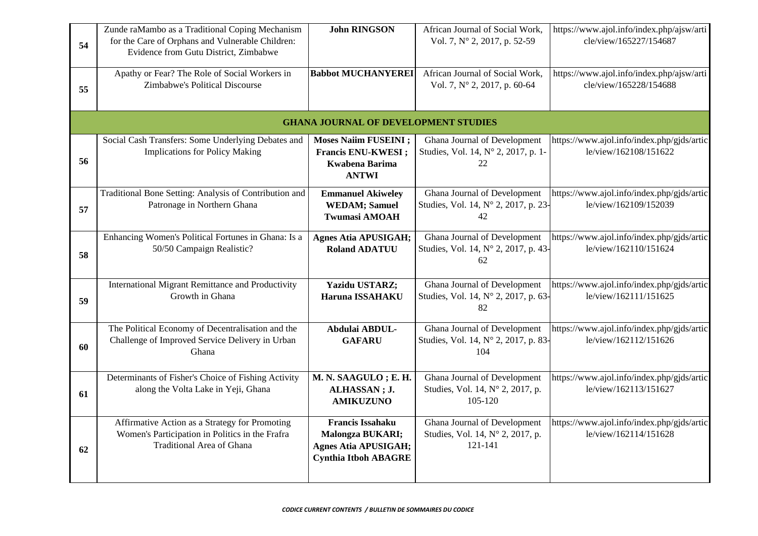| 54 | Zunde raMambo as a Traditional Coping Mechanism<br>for the Care of Orphans and Vulnerable Children:<br>Evidence from Gutu District, Zimbabwe | <b>John RINGSON</b>                                                                                              | African Journal of Social Work,<br>Vol. 7, N° 2, 2017, p. 52-59             | https://www.ajol.info/index.php/ajsw/arti<br>cle/view/165227/154687 |
|----|----------------------------------------------------------------------------------------------------------------------------------------------|------------------------------------------------------------------------------------------------------------------|-----------------------------------------------------------------------------|---------------------------------------------------------------------|
| 55 | Apathy or Fear? The Role of Social Workers in<br>Zimbabwe's Political Discourse                                                              | <b>Babbot MUCHANYEREI</b>                                                                                        | African Journal of Social Work,<br>Vol. 7, N° 2, 2017, p. 60-64             | https://www.ajol.info/index.php/ajsw/arti<br>cle/view/165228/154688 |
|    |                                                                                                                                              | <b>GHANA JOURNAL OF DEVELOPMENT STUDIES</b>                                                                      |                                                                             |                                                                     |
| 56 | Social Cash Transfers: Some Underlying Debates and<br><b>Implications for Policy Making</b>                                                  | <b>Moses Naiim FUSEINI</b> ;<br><b>Francis ENU-KWESI</b> ;<br><b>Kwabena Barima</b><br><b>ANTWI</b>              | Ghana Journal of Development<br>Studies, Vol. 14, N° 2, 2017, p. 1-<br>22   | https://www.ajol.info/index.php/gjds/artic<br>le/view/162108/151622 |
| 57 | Traditional Bone Setting: Analysis of Contribution and<br>Patronage in Northern Ghana                                                        | <b>Emmanuel Akiweley</b><br><b>WEDAM; Samuel</b><br><b>Twumasi AMOAH</b>                                         | Ghana Journal of Development<br>Studies, Vol. 14, Nº 2, 2017, p. 23-<br>42  | https://www.ajol.info/index.php/gjds/artic<br>le/view/162109/152039 |
| 58 | Enhancing Women's Political Fortunes in Ghana: Is a<br>50/50 Campaign Realistic?                                                             | <b>Agnes Atia APUSIGAH;</b><br><b>Roland ADATUU</b>                                                              | Ghana Journal of Development<br>Studies, Vol. 14, N° 2, 2017, p. 43-<br>62  | https://www.ajol.info/index.php/gjds/artic<br>le/view/162110/151624 |
| 59 | International Migrant Remittance and Productivity<br>Growth in Ghana                                                                         | <b>Yazidu USTARZ;</b><br>Haruna ISSAHAKU                                                                         | Ghana Journal of Development<br>Studies, Vol. 14, N° 2, 2017, p. 63-<br>82  | https://www.ajol.info/index.php/gjds/artic<br>le/view/162111/151625 |
| 60 | The Political Economy of Decentralisation and the<br>Challenge of Improved Service Delivery in Urban<br>Ghana                                | Abdulai ABDUL-<br><b>GAFARU</b>                                                                                  | Ghana Journal of Development<br>Studies, Vol. 14, N° 2, 2017, p. 83-<br>104 | https://www.ajol.info/index.php/gjds/artic<br>le/view/162112/151626 |
| 61 | Determinants of Fisher's Choice of Fishing Activity<br>along the Volta Lake in Yeji, Ghana                                                   | M. N. SAAGULO ; E. H.<br>ALHASSAN; J.<br><b>AMIKUZUNO</b>                                                        | Ghana Journal of Development<br>Studies, Vol. 14, Nº 2, 2017, p.<br>105-120 | https://www.ajol.info/index.php/gjds/artic<br>le/view/162113/151627 |
| 62 | Affirmative Action as a Strategy for Promoting<br>Women's Participation in Politics in the Frafra<br><b>Traditional Area of Ghana</b>        | <b>Francis Issahaku</b><br><b>Malongza BUKARI;</b><br><b>Agnes Atia APUSIGAH;</b><br><b>Cynthia Itboh ABAGRE</b> | Ghana Journal of Development<br>Studies, Vol. 14, Nº 2, 2017, p.<br>121-141 | https://www.ajol.info/index.php/gjds/artic<br>le/view/162114/151628 |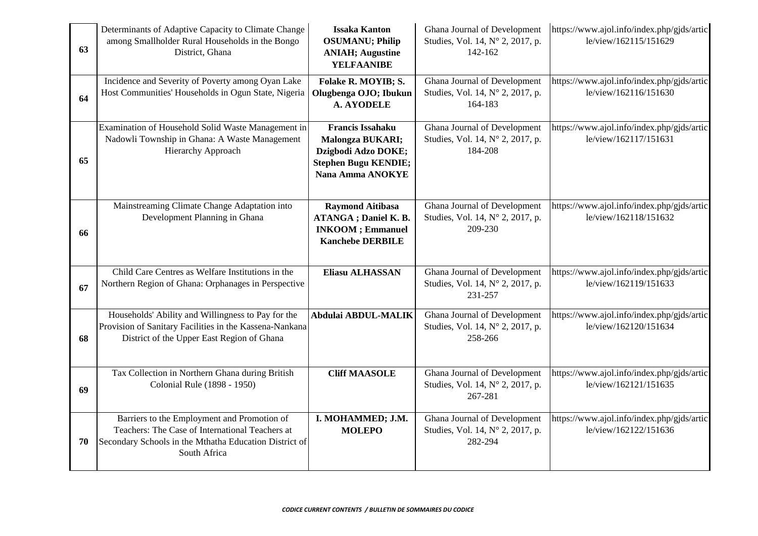| 63 | Determinants of Adaptive Capacity to Climate Change<br>among Smallholder Rural Households in the Bongo<br>District, Ghana                                                | <b>Issaka Kanton</b><br><b>OSUMANU</b> ; Philip<br><b>ANIAH</b> ; Augustine<br><b>YELFAANIBE</b>                             | Ghana Journal of Development<br>Studies, Vol. 14, Nº 2, 2017, p.<br>142-162 | https://www.ajol.info/index.php/gjds/artic<br>le/view/162115/151629 |
|----|--------------------------------------------------------------------------------------------------------------------------------------------------------------------------|------------------------------------------------------------------------------------------------------------------------------|-----------------------------------------------------------------------------|---------------------------------------------------------------------|
| 64 | Incidence and Severity of Poverty among Oyan Lake<br>Host Communities' Households in Ogun State, Nigeria                                                                 | Folake R. MOYIB; S.<br>Olugbenga OJO; Ibukun<br><b>A. AYODELE</b>                                                            | Ghana Journal of Development<br>Studies, Vol. 14, Nº 2, 2017, p.<br>164-183 | https://www.ajol.info/index.php/gjds/artic<br>le/view/162116/151630 |
| 65 | Examination of Household Solid Waste Management in<br>Nadowli Township in Ghana: A Waste Management<br><b>Hierarchy Approach</b>                                         | <b>Francis Issahaku</b><br><b>Malongza BUKARI;</b><br>Dzigbodi Adzo DOKE;<br><b>Stephen Bugu KENDIE;</b><br>Nana Amma ANOKYE | Ghana Journal of Development<br>Studies, Vol. 14, Nº 2, 2017, p.<br>184-208 | https://www.ajol.info/index.php/gjds/artic<br>le/view/162117/151631 |
| 66 | Mainstreaming Climate Change Adaptation into<br>Development Planning in Ghana                                                                                            | <b>Raymond Aitibasa</b><br><b>ATANGA</b> ; Daniel K. B.<br><b>INKOOM</b> ; Emmanuel<br><b>Kanchebe DERBILE</b>               | Ghana Journal of Development<br>Studies, Vol. 14, N° 2, 2017, p.<br>209-230 | https://www.ajol.info/index.php/gjds/artic<br>le/view/162118/151632 |
| 67 | Child Care Centres as Welfare Institutions in the<br>Northern Region of Ghana: Orphanages in Perspective                                                                 | Eliasu ALHASSAN                                                                                                              | Ghana Journal of Development<br>Studies, Vol. 14, N° 2, 2017, p.<br>231-257 | https://www.ajol.info/index.php/gjds/artic<br>le/view/162119/151633 |
| 68 | Households' Ability and Willingness to Pay for the<br>Provision of Sanitary Facilities in the Kassena-Nankana<br>District of the Upper East Region of Ghana              | Abdulai ABDUL-MALIK                                                                                                          | Ghana Journal of Development<br>Studies, Vol. 14, Nº 2, 2017, p.<br>258-266 | https://www.ajol.info/index.php/gjds/artic<br>le/view/162120/151634 |
| 69 | Tax Collection in Northern Ghana during British<br>Colonial Rule (1898 - 1950)                                                                                           | <b>Cliff MAASOLE</b>                                                                                                         | Ghana Journal of Development<br>Studies, Vol. 14, Nº 2, 2017, p.<br>267-281 | https://www.ajol.info/index.php/gjds/artic<br>le/view/162121/151635 |
| 70 | Barriers to the Employment and Promotion of<br>Teachers: The Case of International Teachers at<br>Secondary Schools in the Mthatha Education District of<br>South Africa | I. MOHAMMED; J.M.<br><b>MOLEPO</b>                                                                                           | Ghana Journal of Development<br>Studies, Vol. 14, Nº 2, 2017, p.<br>282-294 | https://www.ajol.info/index.php/gjds/artic<br>le/view/162122/151636 |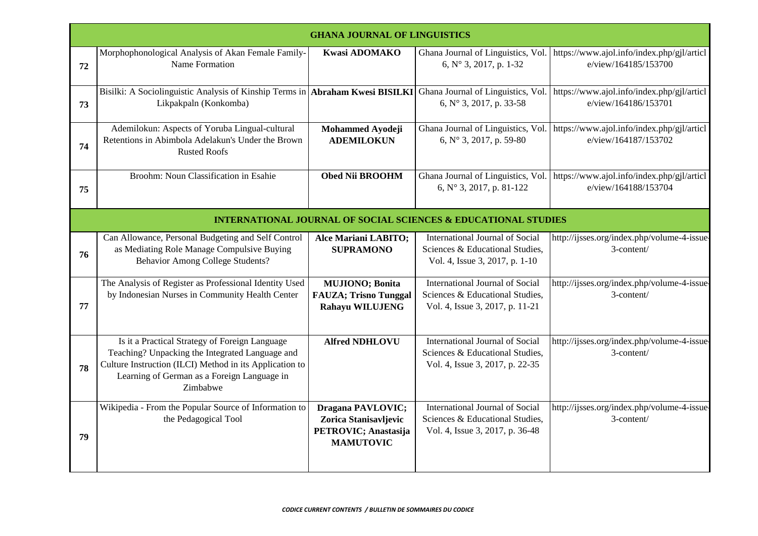|    | <b>GHANA JOURNAL OF LINGUISTICS</b>                                                                                                                                                                                     |                                                                                        |                                                                                                       |                                                                    |
|----|-------------------------------------------------------------------------------------------------------------------------------------------------------------------------------------------------------------------------|----------------------------------------------------------------------------------------|-------------------------------------------------------------------------------------------------------|--------------------------------------------------------------------|
| 72 | Morphophonological Analysis of Akan Female Family-<br>Name Formation                                                                                                                                                    | <b>Kwasi ADOMAKO</b>                                                                   | Ghana Journal of Linguistics, Vol.<br>6, N° 3, 2017, p. 1-32                                          | https://www.ajol.info/index.php/gjl/articl<br>e/view/164185/153700 |
| 73 | Bisilki: A Sociolinguistic Analysis of Kinship Terms in Abraham Kwesi BISILKI<br>Likpakpaln (Konkomba)                                                                                                                  |                                                                                        | Ghana Journal of Linguistics, Vol.<br>6, N° 3, 2017, p. 33-58                                         | https://www.ajol.info/index.php/gjl/articl<br>e/view/164186/153701 |
| 74 | Ademilokun: Aspects of Yoruba Lingual-cultural<br>Retentions in Abimbola Adelakun's Under the Brown<br><b>Rusted Roofs</b>                                                                                              | Mohammed Ayodeji<br><b>ADEMILOKUN</b>                                                  | Ghana Journal of Linguistics, Vol.<br>6, $N^{\circ}$ 3, 2017, p. 59-80                                | https://www.ajol.info/index.php/gjl/articl<br>e/view/164187/153702 |
| 75 | Broohm: Noun Classification in Esahie                                                                                                                                                                                   | Obed Nii BROOHM                                                                        | Ghana Journal of Linguistics, Vol.<br>6, $N^{\circ}$ 3, 2017, p. 81-122                               | https://www.ajol.info/index.php/gjl/articl<br>e/view/164188/153704 |
|    |                                                                                                                                                                                                                         |                                                                                        | <b>INTERNATIONAL JOURNAL OF SOCIAL SCIENCES &amp; EDUCATIONAL STUDIES</b>                             |                                                                    |
| 76 | Can Allowance, Personal Budgeting and Self Control<br>as Mediating Role Manage Compulsive Buying<br><b>Behavior Among College Students?</b>                                                                             | Alce Mariani LABITO;<br><b>SUPRAMONO</b>                                               | International Journal of Social<br>Sciences & Educational Studies,<br>Vol. 4, Issue 3, 2017, p. 1-10  | http://ijsses.org/index.php/volume-4-issue-<br>3-content/          |
| 77 | The Analysis of Register as Professional Identity Used<br>by Indonesian Nurses in Community Health Center                                                                                                               | <b>MUJIONO; Bonita</b><br><b>FAUZA; Trisno Tunggal</b><br><b>Rahayu WILUJENG</b>       | International Journal of Social<br>Sciences & Educational Studies,<br>Vol. 4, Issue 3, 2017, p. 11-21 | http://ijsses.org/index.php/volume-4-issue-<br>3-content/          |
| 78 | Is it a Practical Strategy of Foreign Language<br>Teaching? Unpacking the Integrated Language and<br>Culture Instruction (ILCI) Method in its Application to<br>Learning of German as a Foreign Language in<br>Zimbabwe | <b>Alfred NDHLOVU</b>                                                                  | International Journal of Social<br>Sciences & Educational Studies,<br>Vol. 4, Issue 3, 2017, p. 22-35 | http://ijsses.org/index.php/volume-4-issue-<br>3-content/          |
| 79 | Wikipedia - From the Popular Source of Information to<br>the Pedagogical Tool                                                                                                                                           | Dragana PAVLOVIC;<br>Zorica Stanisavljevic<br>PETROVIC; Anastasija<br><b>MAMUTOVIC</b> | International Journal of Social<br>Sciences & Educational Studies,<br>Vol. 4, Issue 3, 2017, p. 36-48 | http://ijsses.org/index.php/volume-4-issue-<br>3-content/          |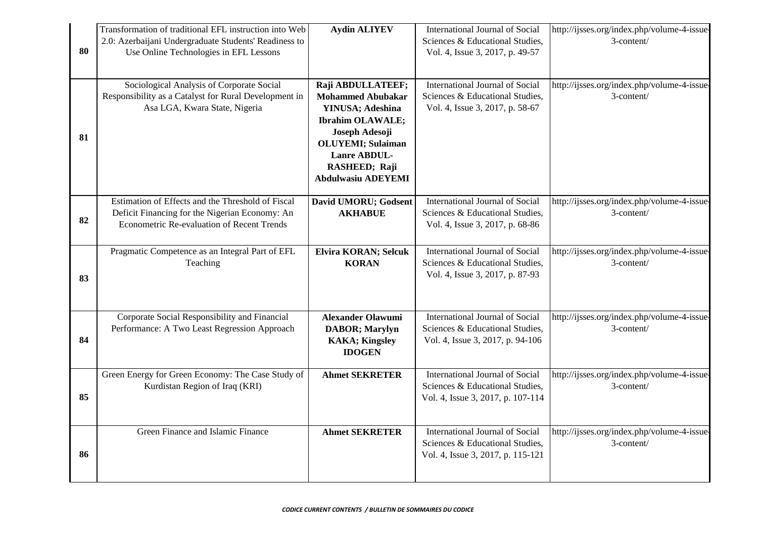|    | Transformation of traditional EFL instruction into Web                                       | <b>Aydin ALIYEV</b>                    | International Journal of Social                                      | http://ijsses.org/index.php/volume-4-issue-               |
|----|----------------------------------------------------------------------------------------------|----------------------------------------|----------------------------------------------------------------------|-----------------------------------------------------------|
|    | 2.0: Azerbaijani Undergraduate Students' Readiness to                                        |                                        | Sciences & Educational Studies,                                      | 3-content/                                                |
| 80 | Use Online Technologies in EFL Lessons                                                       |                                        | Vol. 4, Issue 3, 2017, p. 49-57                                      |                                                           |
|    |                                                                                              |                                        |                                                                      |                                                           |
|    | Sociological Analysis of Corporate Social                                                    | Raji ABDULLATEEF;                      | International Journal of Social                                      | http://ijsses.org/index.php/volume-4-issue-               |
|    | Responsibility as a Catalyst for Rural Development in                                        | <b>Mohammed Abubakar</b>               | Sciences & Educational Studies,                                      | 3-content/                                                |
|    | Asa LGA, Kwara State, Nigeria                                                                | YINUSA; Adeshina                       | Vol. 4, Issue 3, 2017, p. 58-67                                      |                                                           |
|    |                                                                                              | <b>Ibrahim OLAWALE;</b>                |                                                                      |                                                           |
| 81 |                                                                                              | Joseph Adesoji                         |                                                                      |                                                           |
|    |                                                                                              | <b>OLUYEMI</b> ; Sulaiman              |                                                                      |                                                           |
|    |                                                                                              | Lanre ABDUL-                           |                                                                      |                                                           |
|    |                                                                                              | RASHEED; Raji                          |                                                                      |                                                           |
|    |                                                                                              | <b>Abdulwasiu ADEYEMI</b>              |                                                                      |                                                           |
|    | Estimation of Effects and the Threshold of Fiscal                                            |                                        | International Journal of Social                                      |                                                           |
|    |                                                                                              | David UMORU; Godsent<br><b>AKHABUE</b> | Sciences & Educational Studies,                                      | http://ijsses.org/index.php/volume-4-issue-<br>3-content/ |
| 82 | Deficit Financing for the Nigerian Economy: An<br>Econometric Re-evaluation of Recent Trends |                                        | Vol. 4, Issue 3, 2017, p. 68-86                                      |                                                           |
|    |                                                                                              |                                        |                                                                      |                                                           |
|    | Pragmatic Competence as an Integral Part of EFL                                              | <b>Elvira KORAN; Selcuk</b>            | International Journal of Social                                      | http://ijsses.org/index.php/volume-4-issue-               |
|    | Teaching                                                                                     | <b>KORAN</b>                           | Sciences & Educational Studies,                                      | 3-content/                                                |
| 83 |                                                                                              |                                        | Vol. 4, Issue 3, 2017, p. 87-93                                      |                                                           |
|    |                                                                                              |                                        |                                                                      |                                                           |
|    |                                                                                              |                                        |                                                                      |                                                           |
|    | Corporate Social Responsibility and Financial                                                | <b>Alexander Olawumi</b>               | International Journal of Social                                      | http://ijsses.org/index.php/volume-4-issue-               |
|    | Performance: A Two Least Regression Approach                                                 | <b>DABOR</b> ; Marylyn                 | Sciences & Educational Studies,                                      | 3-content/                                                |
| 84 |                                                                                              | <b>KAKA</b> ; Kingsley                 | Vol. 4, Issue 3, 2017, p. 94-106                                     |                                                           |
|    |                                                                                              | <b>IDOGEN</b>                          |                                                                      |                                                           |
|    | Green Energy for Green Economy: The Case Study of                                            | <b>Ahmet SEKRETER</b>                  | International Journal of Social                                      | http://ijsses.org/index.php/volume-4-issue-               |
|    | Kurdistan Region of Iraq (KRI)                                                               |                                        | Sciences & Educational Studies,                                      | 3-content/                                                |
| 85 |                                                                                              |                                        | Vol. 4, Issue 3, 2017, p. 107-114                                    |                                                           |
|    |                                                                                              |                                        |                                                                      |                                                           |
|    |                                                                                              |                                        |                                                                      |                                                           |
|    | Green Finance and Islamic Finance                                                            | <b>Ahmet SEKRETER</b>                  | International Journal of Social                                      | http://ijsses.org/index.php/volume-4-issue-<br>3-content/ |
| 86 |                                                                                              |                                        | Sciences & Educational Studies,<br>Vol. 4, Issue 3, 2017, p. 115-121 |                                                           |
|    |                                                                                              |                                        |                                                                      |                                                           |
|    |                                                                                              |                                        |                                                                      |                                                           |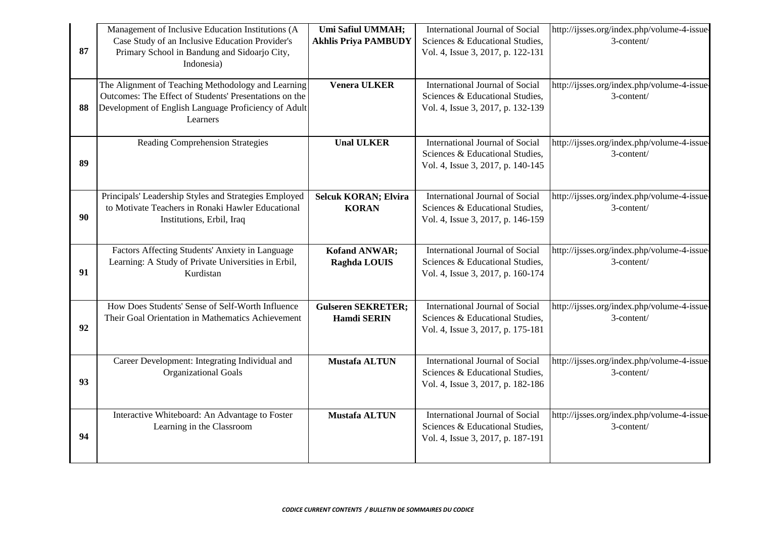|    | Management of Inclusive Education Institutions (A                                                            | Umi Safiul UMMAH;           | International Journal of Social                                      | http://ijsses.org/index.php/volume-4-issue-               |
|----|--------------------------------------------------------------------------------------------------------------|-----------------------------|----------------------------------------------------------------------|-----------------------------------------------------------|
|    | Case Study of an Inclusive Education Provider's                                                              | <b>Akhlis Priya PAMBUDY</b> | Sciences & Educational Studies,                                      | 3-content/                                                |
| 87 | Primary School in Bandung and Sidoarjo City,                                                                 |                             | Vol. 4, Issue 3, 2017, p. 122-131                                    |                                                           |
|    | Indonesia)                                                                                                   |                             |                                                                      |                                                           |
|    |                                                                                                              |                             |                                                                      |                                                           |
|    | The Alignment of Teaching Methodology and Learning<br>Outcomes: The Effect of Students' Presentations on the | <b>Venera ULKER</b>         | International Journal of Social<br>Sciences & Educational Studies,   | http://ijsses.org/index.php/volume-4-issue-<br>3-content/ |
| 88 | Development of English Language Proficiency of Adult                                                         |                             | Vol. 4, Issue 3, 2017, p. 132-139                                    |                                                           |
|    | Learners                                                                                                     |                             |                                                                      |                                                           |
|    |                                                                                                              |                             |                                                                      |                                                           |
|    | <b>Reading Comprehension Strategies</b>                                                                      | <b>Unal ULKER</b>           | International Journal of Social                                      | http://ijsses.org/index.php/volume-4-issue-               |
|    |                                                                                                              |                             | Sciences & Educational Studies,                                      | 3-content/                                                |
| 89 |                                                                                                              |                             | Vol. 4, Issue 3, 2017, p. 140-145                                    |                                                           |
|    |                                                                                                              |                             |                                                                      |                                                           |
|    | Principals' Leadership Styles and Strategies Employed                                                        | <b>Selcuk KORAN; Elvira</b> | International Journal of Social                                      | http://ijsses.org/index.php/volume-4-issue-               |
|    | to Motivate Teachers in Ronaki Hawler Educational                                                            | <b>KORAN</b>                | Sciences & Educational Studies,                                      | 3-content/                                                |
| 90 | Institutions, Erbil, Iraq                                                                                    |                             | Vol. 4, Issue 3, 2017, p. 146-159                                    |                                                           |
|    |                                                                                                              |                             |                                                                      |                                                           |
|    |                                                                                                              |                             |                                                                      |                                                           |
|    | Factors Affecting Students' Anxiety in Language                                                              | <b>Kofand ANWAR;</b>        | International Journal of Social                                      | http://ijsses.org/index.php/volume-4-issue-               |
| 91 | Learning: A Study of Private Universities in Erbil,<br>Kurdistan                                             | Raghda LOUIS                | Sciences & Educational Studies,<br>Vol. 4, Issue 3, 2017, p. 160-174 | 3-content/                                                |
|    |                                                                                                              |                             |                                                                      |                                                           |
|    |                                                                                                              |                             |                                                                      |                                                           |
|    | How Does Students' Sense of Self-Worth Influence                                                             | <b>Gulseren SEKRETER;</b>   | International Journal of Social                                      | http://ijsses.org/index.php/volume-4-issue-               |
|    | Their Goal Orientation in Mathematics Achievement                                                            | <b>Hamdi SERIN</b>          | Sciences & Educational Studies,                                      | 3-content/                                                |
| 92 |                                                                                                              |                             | Vol. 4, Issue 3, 2017, p. 175-181                                    |                                                           |
|    |                                                                                                              |                             |                                                                      |                                                           |
|    | Career Development: Integrating Individual and                                                               | <b>Mustafa ALTUN</b>        | International Journal of Social                                      | http://ijsses.org/index.php/volume-4-issue-               |
|    | <b>Organizational Goals</b>                                                                                  |                             | Sciences & Educational Studies,                                      | 3-content/                                                |
| 93 |                                                                                                              |                             | Vol. 4, Issue 3, 2017, p. 182-186                                    |                                                           |
|    |                                                                                                              |                             |                                                                      |                                                           |
|    | Interactive Whiteboard: An Advantage to Foster                                                               | <b>Mustafa ALTUN</b>        | International Journal of Social                                      | http://ijsses.org/index.php/volume-4-issue-               |
|    | Learning in the Classroom                                                                                    |                             | Sciences & Educational Studies,                                      | 3-content/                                                |
| 94 |                                                                                                              |                             | Vol. 4, Issue 3, 2017, p. 187-191                                    |                                                           |
|    |                                                                                                              |                             |                                                                      |                                                           |
|    |                                                                                                              |                             |                                                                      |                                                           |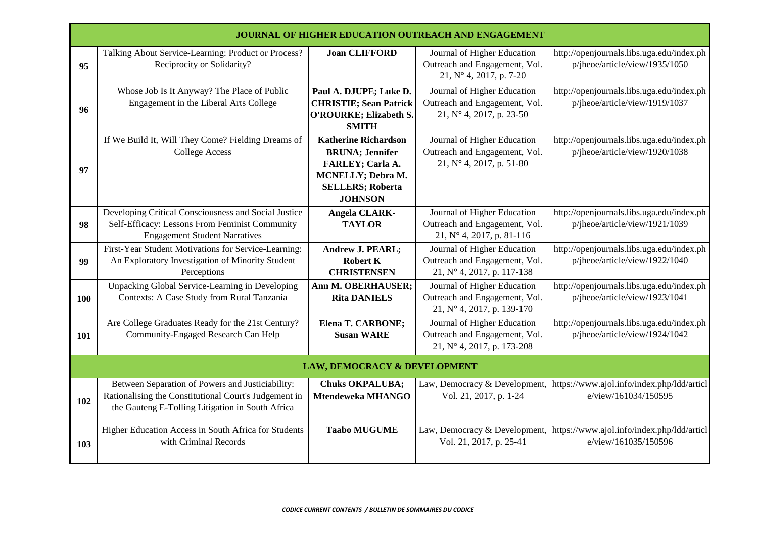|     | <b>JOURNAL OF HIGHER EDUCATION OUTREACH AND ENGAGEMENT</b>                                                                                                    |                                                                                                                                                     |                                                                                                   |                                                                                                  |
|-----|---------------------------------------------------------------------------------------------------------------------------------------------------------------|-----------------------------------------------------------------------------------------------------------------------------------------------------|---------------------------------------------------------------------------------------------------|--------------------------------------------------------------------------------------------------|
| 95  | Talking About Service-Learning: Product or Process?<br>Reciprocity or Solidarity?                                                                             | <b>Joan CLIFFORD</b>                                                                                                                                | Journal of Higher Education<br>Outreach and Engagement, Vol.<br>21, N° 4, 2017, p. 7-20           | http://openjournals.libs.uga.edu/index.ph<br>p/jheoe/article/view/1935/1050                      |
| 96  | Whose Job Is It Anyway? The Place of Public<br>Engagement in the Liberal Arts College                                                                         | Paul A. DJUPE; Luke D.<br><b>CHRISTIE; Sean Patrick</b><br>O'ROURKE; Elizabeth S.<br><b>SMITH</b>                                                   | Journal of Higher Education<br>Outreach and Engagement, Vol.<br>$21, N^{\circ} 4, 2017, p. 23-50$ | http://openjournals.libs.uga.edu/index.ph<br>p/jheoe/article/view/1919/1037                      |
| 97  | If We Build It, Will They Come? Fielding Dreams of<br><b>College Access</b>                                                                                   | <b>Katherine Richardson</b><br><b>BRUNA</b> ; Jennifer<br>FARLEY; Carla A.<br><b>MCNELLY; Debra M.</b><br><b>SELLERS; Roberta</b><br><b>JOHNSON</b> | Journal of Higher Education<br>Outreach and Engagement, Vol.<br>21, N° 4, 2017, p. 51-80          | http://openjournals.libs.uga.edu/index.ph<br>p/jheoe/article/view/1920/1038                      |
| 98  | Developing Critical Consciousness and Social Justice<br>Self-Efficacy: Lessons From Feminist Community<br><b>Engagement Student Narratives</b>                | <b>Angela CLARK-</b><br><b>TAYLOR</b>                                                                                                               | Journal of Higher Education<br>Outreach and Engagement, Vol.<br>21, N° 4, 2017, p. 81-116         | http://openjournals.libs.uga.edu/index.ph<br>p/jheoe/article/view/1921/1039                      |
| 99  | First-Year Student Motivations for Service-Learning:<br>An Exploratory Investigation of Minority Student<br>Perceptions                                       | <b>Andrew J. PEARL;</b><br><b>Robert K</b><br><b>CHRISTENSEN</b>                                                                                    | Journal of Higher Education<br>Outreach and Engagement, Vol.<br>21, N° 4, 2017, p. 117-138        | http://openjournals.libs.uga.edu/index.ph<br>p/jheoe/article/view/1922/1040                      |
| 100 | Unpacking Global Service-Learning in Developing<br>Contexts: A Case Study from Rural Tanzania                                                                 | Ann M. OBERHAUSER;<br><b>Rita DANIELS</b>                                                                                                           | Journal of Higher Education<br>Outreach and Engagement, Vol.<br>21, N° 4, 2017, p. 139-170        | http://openjournals.libs.uga.edu/index.ph<br>p/jheoe/article/view/1923/1041                      |
| 101 | Are College Graduates Ready for the 21st Century?<br>Community-Engaged Research Can Help                                                                      | <b>Elena T. CARBONE;</b><br><b>Susan WARE</b>                                                                                                       | Journal of Higher Education<br>Outreach and Engagement, Vol.<br>21, N° 4, 2017, p. 173-208        | http://openjournals.libs.uga.edu/index.ph<br>p/jheoe/article/view/1924/1042                      |
|     | LAW, DEMOCRACY & DEVELOPMENT                                                                                                                                  |                                                                                                                                                     |                                                                                                   |                                                                                                  |
| 102 | Between Separation of Powers and Justiciability:<br>Rationalising the Constitutional Court's Judgement in<br>the Gauteng E-Tolling Litigation in South Africa | <b>Chuks OKPALUBA;</b><br>Mtendeweka MHANGO                                                                                                         | Vol. 21, 2017, p. 1-24                                                                            | Law, Democracy & Development, https://www.ajol.info/index.php/ldd/articl<br>e/view/161034/150595 |
| 103 | Higher Education Access in South Africa for Students<br>with Criminal Records                                                                                 | <b>Taabo MUGUME</b>                                                                                                                                 | Vol. 21, 2017, p. 25-41                                                                           | Law, Democracy & Development, https://www.ajol.info/index.php/ldd/articl<br>e/view/161035/150596 |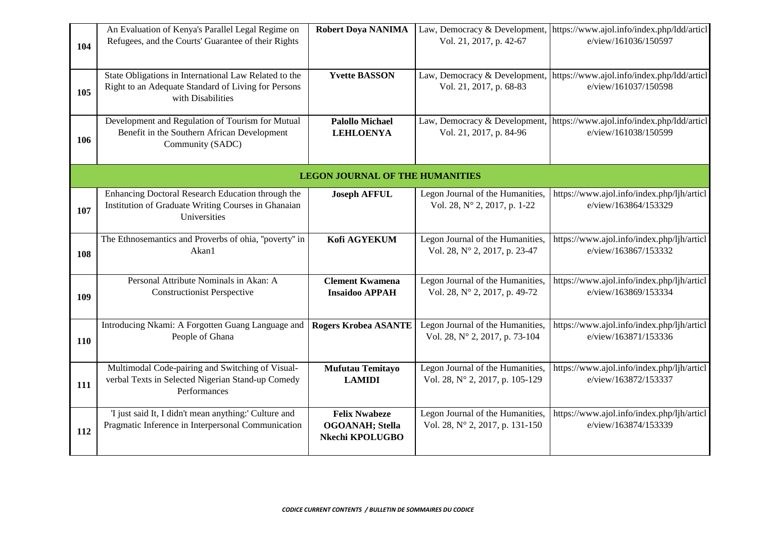| 104 | An Evaluation of Kenya's Parallel Legal Regime on<br>Refugees, and the Courts' Guarantee of their Rights                          | <b>Robert Doya NANIMA</b>                                          | Law, Democracy & Development,<br>Vol. 21, 2017, p. 42-67            | https://www.ajol.info/index.php/ldd/articl<br>e/view/161036/150597 |
|-----|-----------------------------------------------------------------------------------------------------------------------------------|--------------------------------------------------------------------|---------------------------------------------------------------------|--------------------------------------------------------------------|
| 105 | State Obligations in International Law Related to the<br>Right to an Adequate Standard of Living for Persons<br>with Disabilities | <b>Yvette BASSON</b>                                               | Law, Democracy & Development,<br>Vol. 21, 2017, p. 68-83            | https://www.ajol.info/index.php/ldd/articl<br>e/view/161037/150598 |
| 106 | Development and Regulation of Tourism for Mutual<br>Benefit in the Southern African Development<br>Community (SADC)               | <b>Palollo Michael</b><br><b>LEHLOENYA</b>                         | Law, Democracy & Development,<br>Vol. 21, 2017, p. 84-96            | https://www.ajol.info/index.php/ldd/articl<br>e/view/161038/150599 |
|     |                                                                                                                                   | <b>LEGON JOURNAL OF THE HUMANITIES</b>                             |                                                                     |                                                                    |
| 107 | Enhancing Doctoral Research Education through the<br>Institution of Graduate Writing Courses in Ghanaian<br>Universities          | <b>Joseph AFFUL</b>                                                | Legon Journal of the Humanities,<br>Vol. 28, N° 2, 2017, p. 1-22    | https://www.ajol.info/index.php/ljh/articl<br>e/view/163864/153329 |
| 108 | The Ethnosemantics and Proverbs of ohia, "poverty" in<br>Akan1                                                                    | Kofi AGYEKUM                                                       | Legon Journal of the Humanities,<br>Vol. 28, N° 2, 2017, p. 23-47   | https://www.ajol.info/index.php/ljh/articl<br>e/view/163867/153332 |
| 109 | Personal Attribute Nominals in Akan: A<br><b>Constructionist Perspective</b>                                                      | <b>Clement Kwamena</b><br><b>Insaidoo APPAH</b>                    | Legon Journal of the Humanities,<br>Vol. 28, N° 2, 2017, p. 49-72   | https://www.ajol.info/index.php/ljh/articl<br>e/view/163869/153334 |
| 110 | Introducing Nkami: A Forgotten Guang Language and<br>People of Ghana                                                              | <b>Rogers Krobea ASANTE</b>                                        | Legon Journal of the Humanities,<br>Vol. 28, N° 2, 2017, p. 73-104  | https://www.ajol.info/index.php/ljh/articl<br>e/view/163871/153336 |
| 111 | Multimodal Code-pairing and Switching of Visual-<br>verbal Texts in Selected Nigerian Stand-up Comedy<br>Performances             | Mufutau Temitayo<br><b>LAMIDI</b>                                  | Legon Journal of the Humanities,<br>Vol. 28, N° 2, 2017, p. 105-129 | https://www.ajol.info/index.php/ljh/articl<br>e/view/163872/153337 |
| 112 | 'I just said It, I didn't mean anything:' Culture and<br>Pragmatic Inference in Interpersonal Communication                       | <b>Felix Nwabeze</b><br><b>OGOANAH</b> ; Stella<br>Nkechi KPOLUGBO | Legon Journal of the Humanities,<br>Vol. 28, N° 2, 2017, p. 131-150 | https://www.ajol.info/index.php/ljh/articl<br>e/view/163874/153339 |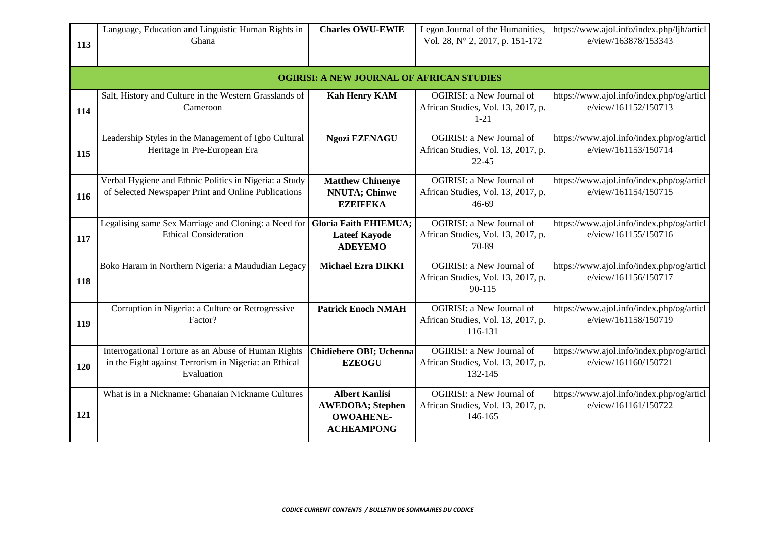| 113 | Language, Education and Linguistic Human Rights in<br>Ghana                                                                | <b>Charles OWU-EWIE</b>                                                                   | Legon Journal of the Humanities,<br>Vol. 28, N° 2, 2017, p. 151-172          | https://www.ajol.info/index.php/ljh/articl<br>e/view/163878/153343 |
|-----|----------------------------------------------------------------------------------------------------------------------------|-------------------------------------------------------------------------------------------|------------------------------------------------------------------------------|--------------------------------------------------------------------|
|     |                                                                                                                            | <b>OGIRISI: A NEW JOURNAL OF AFRICAN STUDIES</b>                                          |                                                                              |                                                                    |
| 114 | Salt, History and Culture in the Western Grasslands of<br>Cameroon                                                         | <b>Kah Henry KAM</b>                                                                      | OGIRISI: a New Journal of<br>African Studies, Vol. 13, 2017, p.<br>$1 - 21$  | https://www.ajol.info/index.php/og/articl<br>e/view/161152/150713  |
| 115 | Leadership Styles in the Management of Igbo Cultural<br>Heritage in Pre-European Era                                       | <b>Ngozi EZENAGU</b>                                                                      | OGIRISI: a New Journal of<br>African Studies, Vol. 13, 2017, p.<br>$22 - 45$ | https://www.ajol.info/index.php/og/articl<br>e/view/161153/150714  |
| 116 | Verbal Hygiene and Ethnic Politics in Nigeria: a Study<br>of Selected Newspaper Print and Online Publications              | <b>Matthew Chinenye</b><br><b>NNUTA</b> ; Chinwe<br><b>EZEIFEKA</b>                       | OGIRISI: a New Journal of<br>African Studies, Vol. 13, 2017, p.<br>46-69     | https://www.ajol.info/index.php/og/articl<br>e/view/161154/150715  |
| 117 | Legalising same Sex Marriage and Cloning: a Need for Gloria Faith EHIEMUA;<br><b>Ethical Consideration</b>                 | <b>Lateef Kayode</b><br><b>ADEYEMO</b>                                                    | OGIRISI: a New Journal of<br>African Studies, Vol. 13, 2017, p.<br>70-89     | https://www.ajol.info/index.php/og/articl<br>e/view/161155/150716  |
| 118 | Boko Haram in Northern Nigeria: a Maududian Legacy                                                                         | <b>Michael Ezra DIKKI</b>                                                                 | OGIRISI: a New Journal of<br>African Studies, Vol. 13, 2017, p.<br>90-115    | https://www.ajol.info/index.php/og/articl<br>e/view/161156/150717  |
| 119 | Corruption in Nigeria: a Culture or Retrogressive<br>Factor?                                                               | <b>Patrick Enoch NMAH</b>                                                                 | OGIRISI: a New Journal of<br>African Studies, Vol. 13, 2017, p.<br>116-131   | https://www.ajol.info/index.php/og/articl<br>e/view/161158/150719  |
| 120 | Interrogational Torture as an Abuse of Human Rights<br>in the Fight against Terrorism in Nigeria: an Ethical<br>Evaluation | Chidiebere OBI; Uchenna<br><b>EZEOGU</b>                                                  | OGIRISI: a New Journal of<br>African Studies, Vol. 13, 2017, p.<br>132-145   | https://www.ajol.info/index.php/og/articl<br>e/view/161160/150721  |
| 121 | What is in a Nickname: Ghanaian Nickname Cultures                                                                          | <b>Albert Kanlisi</b><br><b>AWEDOBA; Stephen</b><br><b>OWOAHENE-</b><br><b>ACHEAMPONG</b> | OGIRISI: a New Journal of<br>African Studies, Vol. 13, 2017, p.<br>146-165   | https://www.ajol.info/index.php/og/articl<br>e/view/161161/150722  |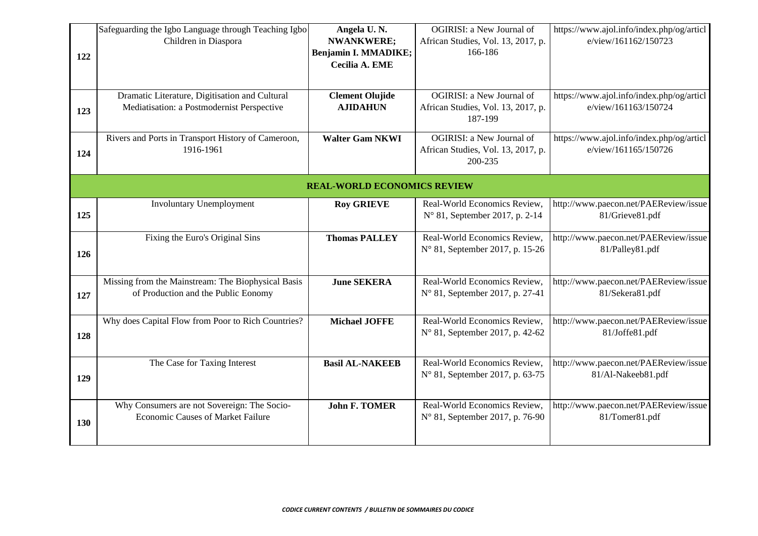| 122 | Safeguarding the Igbo Language through Teaching Igbo<br>Children in Diaspora                 | Angela U.N.<br><b>NWANKWERE;</b><br>Benjamin I. MMADIKE;<br>Cecilia A. EME | OGIRISI: a New Journal of<br>African Studies, Vol. 13, 2017, p.<br>166-186 | https://www.ajol.info/index.php/og/articl<br>e/view/161162/150723 |
|-----|----------------------------------------------------------------------------------------------|----------------------------------------------------------------------------|----------------------------------------------------------------------------|-------------------------------------------------------------------|
| 123 | Dramatic Literature, Digitisation and Cultural<br>Mediatisation: a Postmodernist Perspective | <b>Clement Olujide</b><br><b>AJIDAHUN</b>                                  | OGIRISI: a New Journal of<br>African Studies, Vol. 13, 2017, p.<br>187-199 | https://www.ajol.info/index.php/og/articl<br>e/view/161163/150724 |
| 124 | Rivers and Ports in Transport History of Cameroon,<br>1916-1961                              | <b>Walter Gam NKWI</b>                                                     | OGIRISI: a New Journal of<br>African Studies, Vol. 13, 2017, p.<br>200-235 | https://www.ajol.info/index.php/og/articl<br>e/view/161165/150726 |
|     |                                                                                              | <b>REAL-WORLD ECONOMICS REVIEW</b>                                         |                                                                            |                                                                   |
| 125 | <b>Involuntary Unemployment</b>                                                              | <b>Roy GRIEVE</b>                                                          | Real-World Economics Review,<br>N° 81, September 2017, p. 2-14             | http://www.paecon.net/PAEReview/issue<br>81/Grieve81.pdf          |
| 126 | Fixing the Euro's Original Sins                                                              | <b>Thomas PALLEY</b>                                                       | Real-World Economics Review,<br>N° 81, September 2017, p. 15-26            | http://www.paecon.net/PAEReview/issue<br>81/Palley81.pdf          |
| 127 | Missing from the Mainstream: The Biophysical Basis<br>of Production and the Public Eonomy    | <b>June SEKERA</b>                                                         | Real-World Economics Review,<br>N° 81, September 2017, p. 27-41            | http://www.paecon.net/PAEReview/issue<br>81/Sekera81.pdf          |
| 128 | Why does Capital Flow from Poor to Rich Countries?                                           | <b>Michael JOFFE</b>                                                       | Real-World Economics Review,<br>N° 81, September 2017, p. 42-62            | http://www.paecon.net/PAEReview/issue<br>81/Joffe81.pdf           |
| 129 | The Case for Taxing Interest                                                                 | <b>Basil AL-NAKEEB</b>                                                     | Real-World Economics Review,<br>N° 81, September 2017, p. 63-75            | http://www.paecon.net/PAEReview/issue<br>81/Al-Nakeeb81.pdf       |
| 130 | Why Consumers are not Sovereign: The Socio-<br><b>Economic Causes of Market Failure</b>      | <b>John F. TOMER</b>                                                       | Real-World Economics Review,<br>N° 81, September 2017, p. 76-90            | http://www.paecon.net/PAEReview/issue<br>81/Tomer81.pdf           |